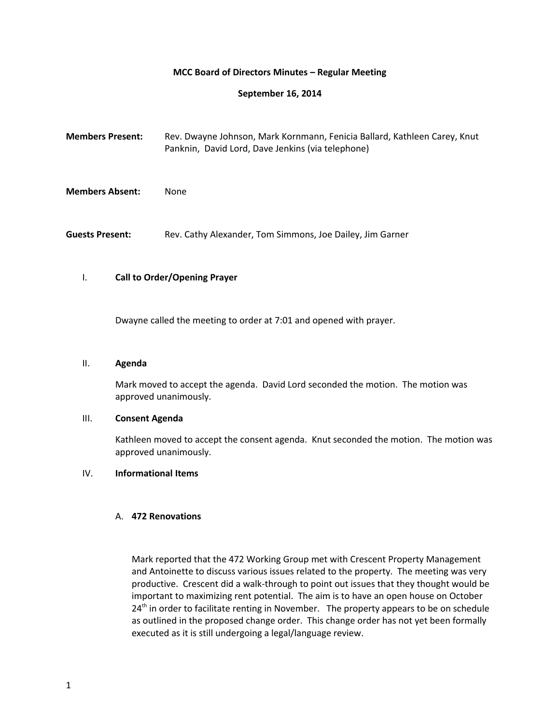## **MCC Board of Directors Minutes – Regular Meeting**

## **September 16, 2014**

| <b>Members Present:</b> | Rev. Dwayne Johnson, Mark Kornmann, Fenicia Ballard, Kathleen Carey, Knut<br>Panknin, David Lord, Dave Jenkins (via telephone) |
|-------------------------|--------------------------------------------------------------------------------------------------------------------------------|
| <b>Members Absent:</b>  | None                                                                                                                           |
| <b>Guests Present:</b>  | Rev. Cathy Alexander, Tom Simmons, Joe Dailey, Jim Garner                                                                      |

## I. **Call to Order/Opening Prayer**

Dwayne called the meeting to order at 7:01 and opened with prayer.

## II. **Agenda**

Mark moved to accept the agenda. David Lord seconded the motion. The motion was approved unanimously.

## III. **Consent Agenda**

Kathleen moved to accept the consent agenda. Knut seconded the motion. The motion was approved unanimously.

## IV. **Informational Items**

### A. **472 Renovations**

Mark reported that the 472 Working Group met with Crescent Property Management and Antoinette to discuss various issues related to the property. The meeting was very productive. Crescent did a walk-through to point out issues that they thought would be important to maximizing rent potential. The aim is to have an open house on October  $24<sup>th</sup>$  in order to facilitate renting in November. The property appears to be on schedule as outlined in the proposed change order. This change order has not yet been formally executed as it is still undergoing a legal/language review.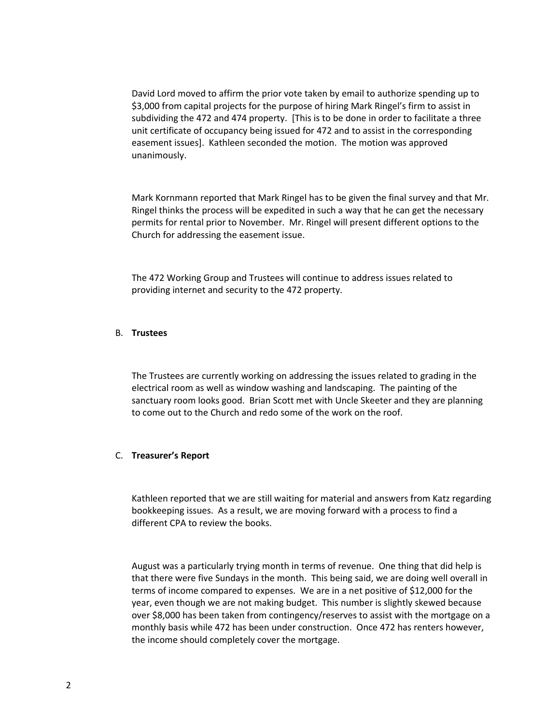David Lord moved to affirm the prior vote taken by email to authorize spending up to \$3,000 from capital projects for the purpose of hiring Mark Ringel's firm to assist in subdividing the 472 and 474 property. [This is to be done in order to facilitate a three unit certificate of occupancy being issued for 472 and to assist in the corresponding easement issues]. Kathleen seconded the motion. The motion was approved unanimously.

Mark Kornmann reported that Mark Ringel has to be given the final survey and that Mr. Ringel thinks the process will be expedited in such a way that he can get the necessary permits for rental prior to November. Mr. Ringel will present different options to the Church for addressing the easement issue.

The 472 Working Group and Trustees will continue to address issues related to providing internet and security to the 472 property.

### B. **Trustees**

The Trustees are currently working on addressing the issues related to grading in the electrical room as well as window washing and landscaping. The painting of the sanctuary room looks good. Brian Scott met with Uncle Skeeter and they are planning to come out to the Church and redo some of the work on the roof.

### C. **Treasurer's Report**

Kathleen reported that we are still waiting for material and answers from Katz regarding bookkeeping issues. As a result, we are moving forward with a process to find a different CPA to review the books.

August was a particularly trying month in terms of revenue. One thing that did help is that there were five Sundays in the month. This being said, we are doing well overall in terms of income compared to expenses. We are in a net positive of \$12,000 for the year, even though we are not making budget. This number is slightly skewed because over \$8,000 has been taken from contingency/reserves to assist with the mortgage on a monthly basis while 472 has been under construction. Once 472 has renters however, the income should completely cover the mortgage.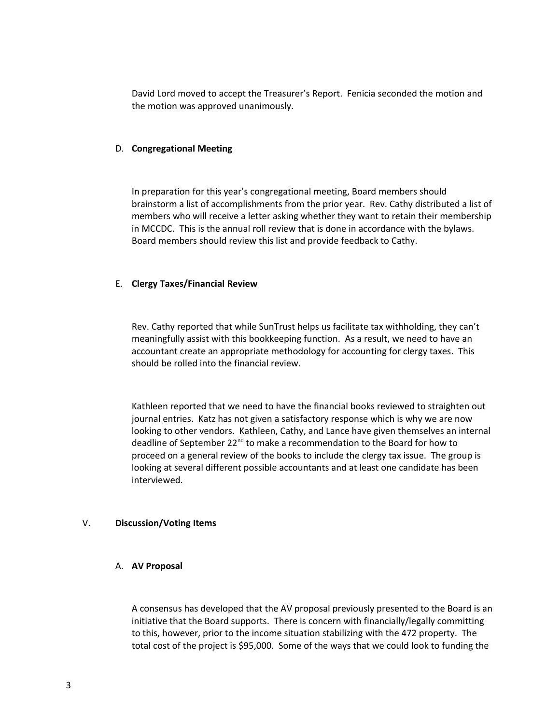David Lord moved to accept the Treasurer's Report. Fenicia seconded the motion and the motion was approved unanimously.

## D. **Congregational Meeting**

In preparation for this year's congregational meeting, Board members should brainstorm a list of accomplishments from the prior year. Rev. Cathy distributed a list of members who will receive a letter asking whether they want to retain their membership in MCCDC. This is the annual roll review that is done in accordance with the bylaws. Board members should review this list and provide feedback to Cathy.

## E. **Clergy Taxes/Financial Review**

Rev. Cathy reported that while SunTrust helps us facilitate tax withholding, they can't meaningfully assist with this bookkeeping function. As a result, we need to have an accountant create an appropriate methodology for accounting for clergy taxes. This should be rolled into the financial review.

Kathleen reported that we need to have the financial books reviewed to straighten out journal entries. Katz has not given a satisfactory response which is why we are now looking to other vendors. Kathleen, Cathy, and Lance have given themselves an internal deadline of September 22<sup>nd</sup> to make a recommendation to the Board for how to proceed on a general review of the books to include the clergy tax issue. The group is looking at several different possible accountants and at least one candidate has been interviewed.

### V. **Discussion/Voting Items**

### A. **AV Proposal**

A consensus has developed that the AV proposal previously presented to the Board is an initiative that the Board supports. There is concern with financially/legally committing to this, however, prior to the income situation stabilizing with the 472 property. The total cost of the project is \$95,000. Some of the ways that we could look to funding the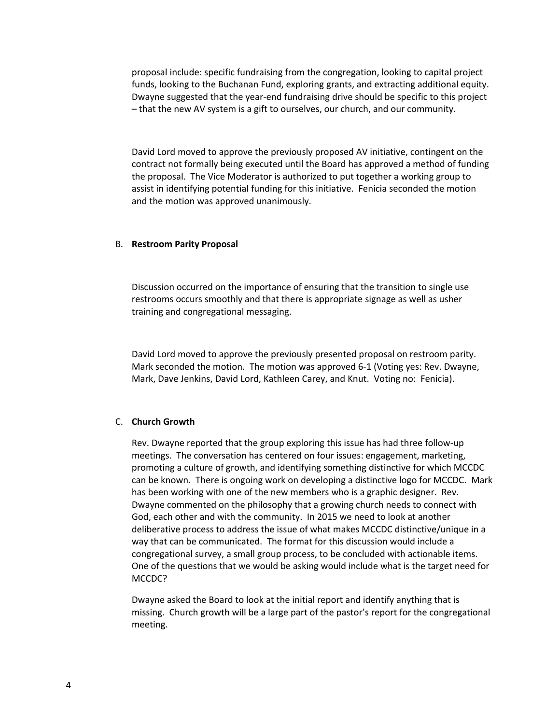proposal include: specific fundraising from the congregation, looking to capital project funds, looking to the Buchanan Fund, exploring grants, and extracting additional equity. Dwayne suggested that the year-end fundraising drive should be specific to this project – that the new AV system is a gift to ourselves, our church, and our community.

David Lord moved to approve the previously proposed AV initiative, contingent on the contract not formally being executed until the Board has approved a method of funding the proposal. The Vice Moderator is authorized to put together a working group to assist in identifying potential funding for this initiative. Fenicia seconded the motion and the motion was approved unanimously.

### B. **Restroom Parity Proposal**

Discussion occurred on the importance of ensuring that the transition to single use restrooms occurs smoothly and that there is appropriate signage as well as usher training and congregational messaging.

David Lord moved to approve the previously presented proposal on restroom parity. Mark seconded the motion. The motion was approved 6-1 (Voting yes: Rev. Dwayne, Mark, Dave Jenkins, David Lord, Kathleen Carey, and Knut. Voting no: Fenicia).

### C. **Church Growth**

Rev. Dwayne reported that the group exploring this issue has had three follow-up meetings. The conversation has centered on four issues: engagement, marketing, promoting a culture of growth, and identifying something distinctive for which MCCDC can be known. There is ongoing work on developing a distinctive logo for MCCDC. Mark has been working with one of the new members who is a graphic designer. Rev. Dwayne commented on the philosophy that a growing church needs to connect with God, each other and with the community. In 2015 we need to look at another deliberative process to address the issue of what makes MCCDC distinctive/unique in a way that can be communicated. The format for this discussion would include a congregational survey, a small group process, to be concluded with actionable items. One of the questions that we would be asking would include what is the target need for MCCDC?

Dwayne asked the Board to look at the initial report and identify anything that is missing. Church growth will be a large part of the pastor's report for the congregational meeting.